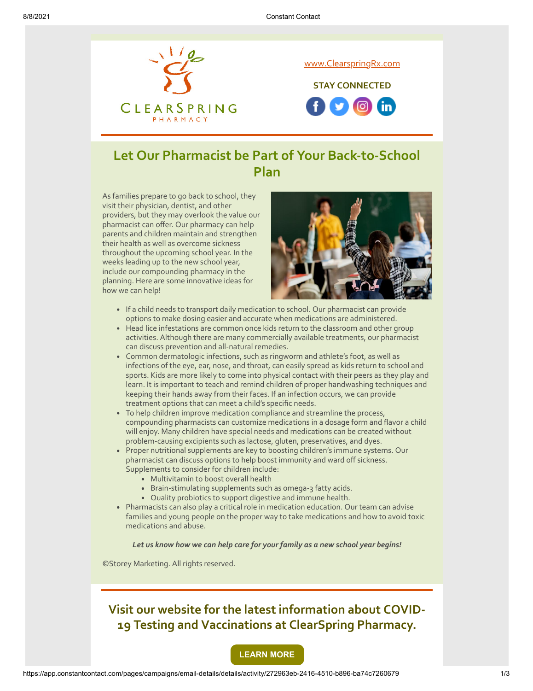

# **Let Our Pharmacist be Part of Your Back-to-School Plan**

As families prepare to go back to school, they visit their physician, dentist, and other providers, but they may overlook the value our pharmacist can offer. Our pharmacy can help parents and children maintain and strengthen their health as well as overcome sickness throughout the upcoming school year. In the weeks leading up to the new school year, include our compounding pharmacy in the planning. Here are some innovative ideas for how we can help!



- If a child needs to transport daily medication to school. Our pharmacist can provide options to make dosing easier and accurate when medications are administered.
- Head lice infestations are common once kids return to the classroom and other group activities. Although there are many commercially available treatments, our pharmacist can discuss prevention and all-natural remedies.
- Common dermatologic infections, such as ringworm and athlete's foot, as well as infections of the eye, ear, nose, and throat, can easily spread as kids return to school and sports. Kids are more likely to come into physical contact with their peers as they play and learn. It is important to teach and remind children of proper handwashing techniques and keeping their hands away from their faces. If an infection occurs, we can provide treatment options that can meet a child's specific needs.
- To help children improve medication compliance and streamline the process, compounding pharmacists can customize medications in a dosage form and flavor a child will enjoy. Many children have special needs and medications can be created without problem-causing excipients such as lactose, gluten, preservatives, and dyes.
- Proper nutritional supplements are key to boosting children's immune systems. Our pharmacist can discuss options to help boost immunity and ward off sickness. Supplements to consider for children include:
	- Multivitamin to boost overall health
	- **Brain-stimulating supplements such as omega-3 fatty acids.**
	- Quality probiotics to support digestive and immune health.
- Pharmacists can also play a critical role in medication education. Our team can advise families and young people on the proper way to take medications and how to avoid toxic medications and abuse.

#### *Let us know how we can help care for your family as a new school year begins!*

©Storey Marketing. All rights reserved.



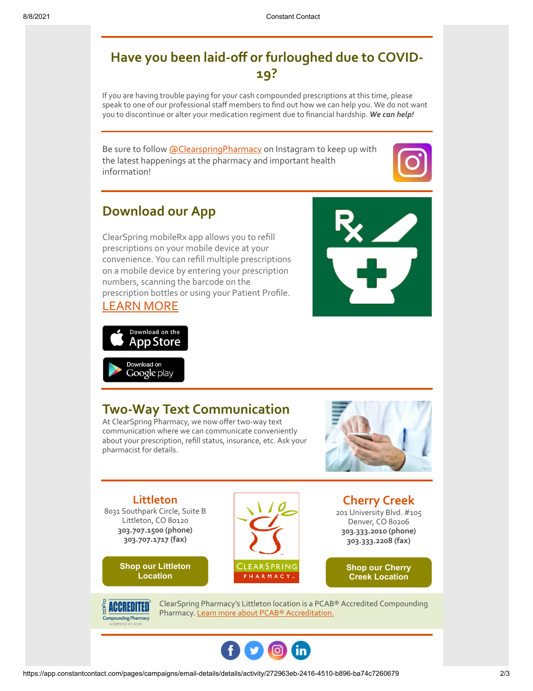## **Have you been laid-off or furloughed due to COVID-19?**

If you are having trouble paying for your cash compounded prescriptions at this time, please speak to one of our professional staff members to find out how we can help you. We do not want you to discontinue or alter your medication regiment due to financial hardship. *We can help!*

Be sure to follow **@ClearspringPharmacy** on Instagram to keep up with the latest happenings at the pharmacy and important health information!



# **Download our App**

ClearSpring mobileRx app allows you to refill prescriptions on your mobile device at your convenience. You can refill multiple prescriptions on a mobile device by entering your prescription numbers, scanning the barcode on the prescription bottles or using your Patient Profile. [LEARN MORE](https://clearspringrx.com/app.php)







### **Two-Way Text Communication**

At ClearSpring Pharmacy, we now offer two-way text communication where we can communicate conveniently about your prescription, refill status, insurance, etc. Ask your pharmacist for details.



**Littleton** 8031 Southpark Circle, Suite B Littleton, CO 80120 **303.707.1500 (phone) 303.707.1717 (fax)**

> **[Shop our Littleton](https://www.pointy.com/shops/usa/colorado/littleton/clearspring-pharmacy-littleton?utm_source=+Patient+Newsletter+-+July+2018&utm_campaign=Patient+-+July+2018&utm_medium=email) Location**

CLEARSPRING PHARMACY...

**Cherry Creek** 201 University Blvd. #105 Denver, CO 80206 **303.333.2010 (phone) 303.333.2208 (fax)**

> **[Shop our Cherry](https://www.pointy.com/shops/usa/colorado/denver/clearspring-pharmacy-cherry-creek?utm_source=+Patient+Newsletter+-+July+2018&utm_campaign=Patient+-+July+2018&utm_medium=email) Creek Location**



ClearSpring Pharmacy's Littleton location is a PCAB® Accredited Compounding Pharmacy. [Learn more about PCAB® Accreditation.](https://clearspringrx.com/pcab-accreditation.php)